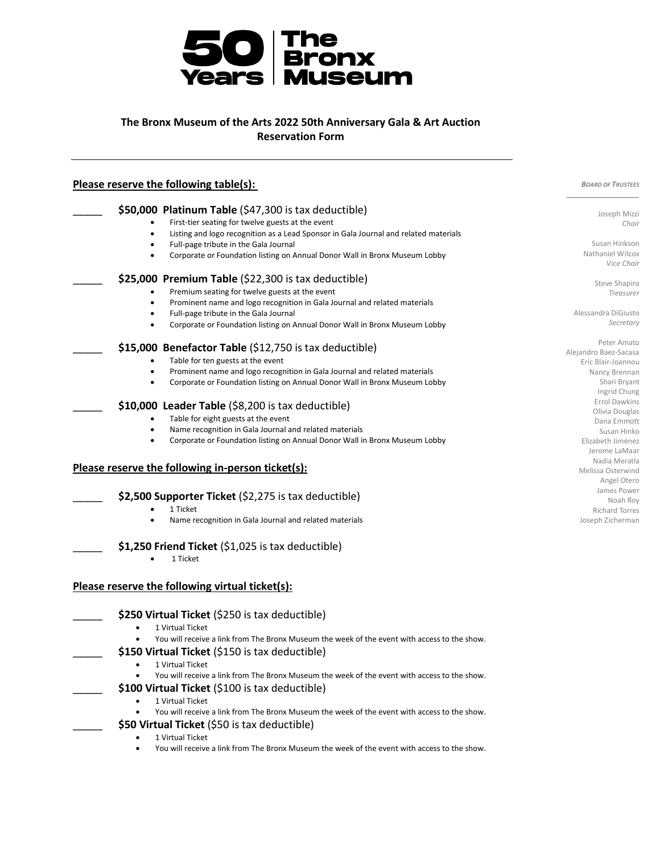

## **The Bronx Museum of the Arts 2022 50th Anniversary Gala & Art Auction Reservation Form**

| Please reserve the following table(s): | <b>BOARD OF TRUSTEES</b>                                                                                  |                                             |
|----------------------------------------|-----------------------------------------------------------------------------------------------------------|---------------------------------------------|
|                                        | \$50,000 Platinum Table (\$47,300 is tax deductible)                                                      |                                             |
|                                        | First-tier seating for twelve guests at the event                                                         | Joseph Mizzi<br>Chair                       |
|                                        | Listing and logo recognition as a Lead Sponsor in Gala Journal and related materials                      |                                             |
|                                        | Full-page tribute in the Gala Journal                                                                     | Susan Hinkson                               |
|                                        | Corporate or Foundation listing on Annual Donor Wall in Bronx Museum Lobby                                | Nathaniel Wilcox<br>Vice Chair              |
|                                        | \$25,000 Premium Table (\$22,300 is tax deductible)                                                       | Steve Shapiro                               |
|                                        | Premium seating for twelve guests at the event                                                            | Treasurer                                   |
|                                        | Prominent name and logo recognition in Gala Journal and related materials                                 |                                             |
|                                        | Full-page tribute in the Gala Journal                                                                     | Alessandra DiGiusto                         |
|                                        | Corporate or Foundation listing on Annual Donor Wall in Bronx Museum Lobby                                | Secretary                                   |
|                                        | \$15,000 Benefactor Table (\$12,750 is tax deductible)                                                    | Peter Amato                                 |
|                                        | Table for ten guests at the event                                                                         | Alejandro Baez-Sacasa<br>Eric Blair-Joannou |
|                                        | Prominent name and logo recognition in Gala Journal and related materials<br>$\bullet$                    | Nancy Brennan                               |
|                                        | Corporate or Foundation listing on Annual Donor Wall in Bronx Museum Lobby                                | Shari Bryant                                |
|                                        |                                                                                                           | Ingrid Chung                                |
|                                        | \$10,000 Leader Table (\$8,200 is tax deductible)                                                         | Errol Dawkins                               |
|                                        | Table for eight guests at the event                                                                       | Olivia Douglas                              |
|                                        | Name recognition in Gala Journal and related materials                                                    | Dana Emmott<br>Susan Hinko                  |
|                                        | Corporate or Foundation listing on Annual Donor Wall in Bronx Museum Lobby                                | Elizabeth Jiménez                           |
|                                        |                                                                                                           | Jerome LaMaar                               |
|                                        |                                                                                                           | Nadia Meratla                               |
|                                        | Please reserve the following in-person ticket(s):                                                         | Melissa Osterwind                           |
|                                        |                                                                                                           | Angel Otero                                 |
|                                        | \$2,500 Supporter Ticket (\$2,275 is tax deductible)                                                      | James Power                                 |
|                                        | 1 Ticket                                                                                                  | Noah Roy<br><b>Richard Torres</b>           |
|                                        | Name recognition in Gala Journal and related materials                                                    | Joseph Zicherman                            |
|                                        | $$1,250$ Friend Ticket ( $$1,025$ is tax deductible)<br>1 Ticket                                          |                                             |
|                                        | Please reserve the following virtual ticket(s):                                                           |                                             |
|                                        | \$250 Virtual Ticket (\$250 is tax deductible)                                                            |                                             |
|                                        | 1 Virtual Ticket                                                                                          |                                             |
|                                        | You will receive a link from The Bronx Museum the week of the event with access to the show.              |                                             |
|                                        | \$150 Virtual Ticket (\$150 is tax deductible)                                                            |                                             |
|                                        | 1 Virtual Ticket<br>$\bullet$                                                                             |                                             |
|                                        | You will receive a link from The Bronx Museum the week of the event with access to the show.              |                                             |
|                                        | \$100 Virtual Ticket (\$100 is tax deductible)                                                            |                                             |
|                                        | 1 Virtual Ticket                                                                                          |                                             |
|                                        | You will receive a link from The Bronx Museum the week of the event with access to the show.<br>$\bullet$ |                                             |
|                                        | \$50 Virtual Ticket (\$50 is tax deductible)                                                              |                                             |
|                                        |                                                                                                           |                                             |
|                                        | 1 Virtual Ticket                                                                                          |                                             |
|                                        | You will receive a link from The Bronx Museum the week of the event with access to the show.<br>$\bullet$ |                                             |